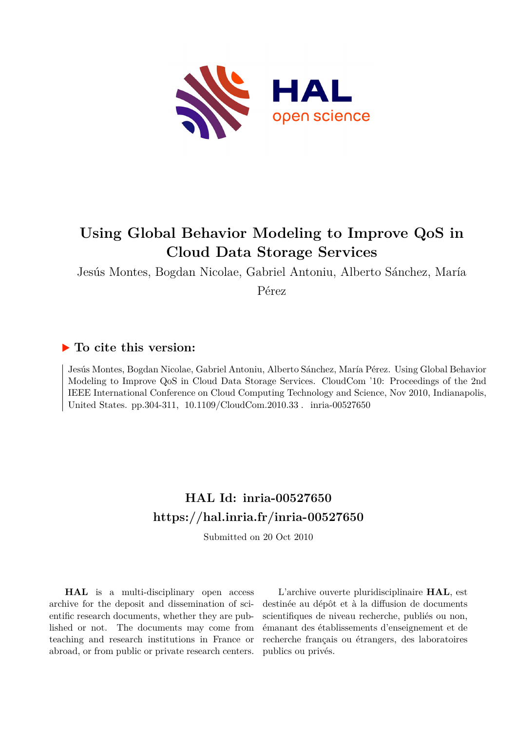

## **Using Global Behavior Modeling to Improve QoS in Cloud Data Storage Services**

Jesús Montes, Bogdan Nicolae, Gabriel Antoniu, Alberto Sánchez, María

Pérez

### **To cite this version:**

Jesús Montes, Bogdan Nicolae, Gabriel Antoniu, Alberto Sánchez, María Pérez. Using Global Behavior Modeling to Improve QoS in Cloud Data Storage Services. CloudCom '10: Proceedings of the 2nd IEEE International Conference on Cloud Computing Technology and Science, Nov 2010, Indianapolis, United States. pp.304-311,  $10.1109/C$ loudCom.2010.33. inria-00527650

## **HAL Id: inria-00527650 <https://hal.inria.fr/inria-00527650>**

Submitted on 20 Oct 2010

**HAL** is a multi-disciplinary open access archive for the deposit and dissemination of scientific research documents, whether they are published or not. The documents may come from teaching and research institutions in France or abroad, or from public or private research centers.

L'archive ouverte pluridisciplinaire **HAL**, est destinée au dépôt et à la diffusion de documents scientifiques de niveau recherche, publiés ou non, émanant des établissements d'enseignement et de recherche français ou étrangers, des laboratoires publics ou privés.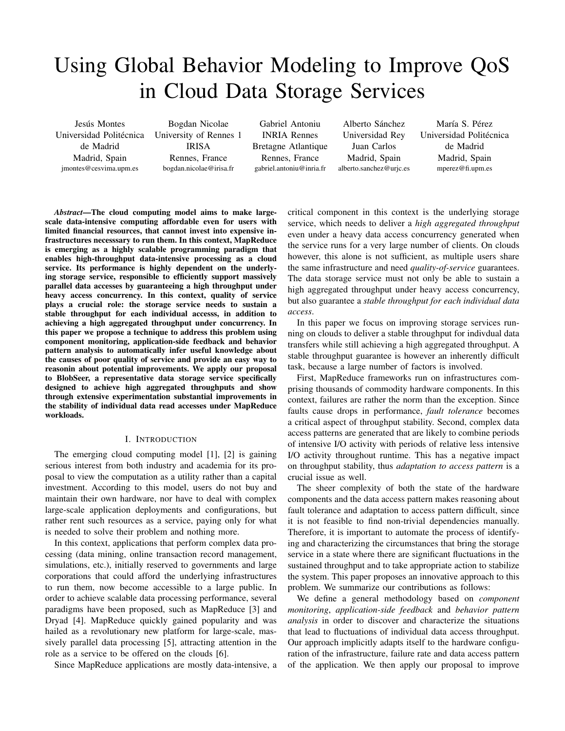# Using Global Behavior Modeling to Improve QoS in Cloud Data Storage Services

Jesús Montes Universidad Politécnica University of Rennes 1 de Madrid Madrid, Spain jmontes@cesvima.upm.es

Bogdan Nicolae IRISA Rennes, France bogdan.nicolae@irisa.fr

Gabriel Antoniu INRIA Rennes Bretagne Atlantique Rennes, France gabriel.antoniu@inria.fr

Alberto Sánchez Universidad Rey Juan Carlos Madrid, Spain alberto.sanchez@urjc.es

María S. Pérez Universidad Politécnica de Madrid Madrid, Spain mperez@fi.upm.es

*Abstract*—The cloud computing model aims to make largescale data-intensive computing affordable even for users with limited financial resources, that cannot invest into expensive infrastructures necesssary to run them. In this context, MapReduce is emerging as a highly scalable programming paradigm that enables high-throughput data-intensive processing as a cloud service. Its performance is highly dependent on the underlying storage service, responsible to efficiently support massively parallel data accesses by guaranteeing a high throughput under heavy access concurrency. In this context, quality of service plays a crucial role: the storage service needs to sustain a stable throughput for each individual accesss, in addition to achieving a high aggregated throughput under concurrency. In this paper we propose a technique to address this problem using component monitoring, application-side feedback and behavior pattern analysis to automatically infer useful knowledge about the causes of poor quality of service and provide an easy way to reasonin about potential improvements. We apply our proposal to BlobSeer, a representative data storage service specifically designed to achieve high aggregated throughputs and show through extensive experimentation substantial improvements in the stability of individual data read accesses under MapReduce workloads.

#### I. INTRODUCTION

The emerging cloud computing model [1], [2] is gaining serious interest from both industry and academia for its proposal to view the computation as a utility rather than a capital investment. According to this model, users do not buy and maintain their own hardware, nor have to deal with complex large-scale application deployments and configurations, but rather rent such resources as a service, paying only for what is needed to solve their problem and nothing more.

In this context, applications that perform complex data processing (data mining, online transaction record management, simulations, etc.), initially reserved to governments and large corporations that could afford the underlying infrastructures to run them, now become accessible to a large public. In order to achieve scalable data processing performance, several paradigms have been proposed, such as MapReduce [3] and Dryad [4]. MapReduce quickly gained popularity and was hailed as a revolutionary new platform for large-scale, massively parallel data processing [5], attracting attention in the role as a service to be offered on the clouds [6].

Since MapReduce applications are mostly data-intensive, a

critical component in this context is the underlying storage service, which needs to deliver a *high aggregated throughput* even under a heavy data access concurrency generated when the service runs for a very large number of clients. On clouds however, this alone is not sufficient, as multiple users share the same infrastructure and need *quality-of-service* guarantees. The data storage service must not only be able to sustain a high aggregated throughput under heavy access concurrency, but also guarantee a *stable throughput for each individual data access*.

In this paper we focus on improving storage services running on clouds to deliver a stable throughput for indivdual data transfers while still achieving a high aggregated throughput. A stable throughput guarantee is however an inherently difficult task, because a large number of factors is involved.

First, MapReduce frameworks run on infrastructures comprising thousands of commodity hardware components. In this context, failures are rather the norm than the exception. Since faults cause drops in performance, *fault tolerance* becomes a critical aspect of throughput stability. Second, complex data access patterns are generated that are likely to combine periods of intensive I/O activity with periods of relative less intensive I/O activity throughout runtime. This has a negative impact on throughput stability, thus *adaptation to access pattern* is a crucial issue as well.

The sheer complexity of both the state of the hardware components and the data access pattern makes reasoning about fault tolerance and adaptation to access pattern difficult, since it is not feasible to find non-trivial dependencies manually. Therefore, it is important to automate the process of identifying and characterizing the circumstances that bring the storage service in a state where there are significant fluctuations in the sustained throughput and to take appropriate action to stabilize the system. This paper proposes an innovative approach to this problem. We summarize our contributions as follows:

We define a general methodology based on *component monitoring*, *application-side feedback* and *behavior pattern analysis* in order to discover and characterize the situations that lead to fluctuations of individual data access throughput. Our approach implicitly adapts itself to the hardware configuration of the infrastructure, failure rate and data access pattern of the application. We then apply our proposal to improve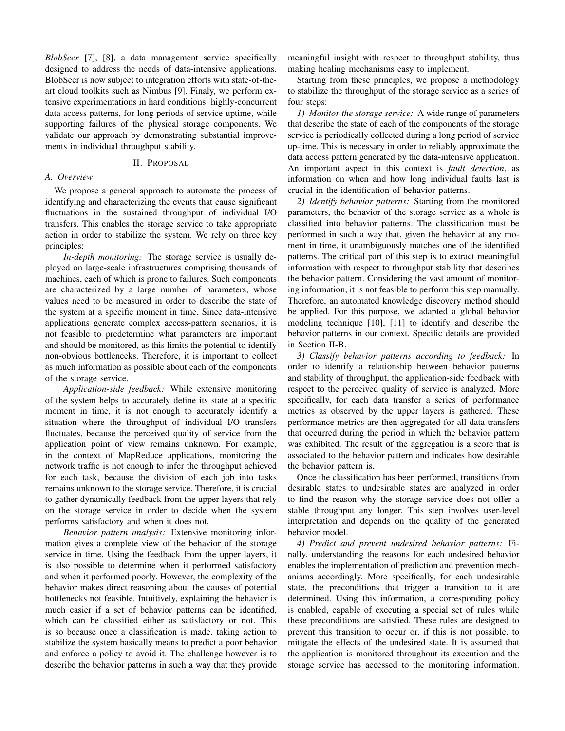*BlobSeer* [7], [8], a data management service specifically designed to address the needs of data-intensive applications. BlobSeer is now subject to integration efforts with state-of-theart cloud toolkits such as Nimbus [9]. Finaly, we perform extensive experimentations in hard conditions: highly-concurrent data access patterns, for long periods of service uptime, while supporting failures of the physical storage components. We validate our approach by demonstrating substantial improvements in individual throughput stability.

#### II. PROPOSAL

#### *A. Overview*

We propose a general approach to automate the process of identifying and characterizing the events that cause significant fluctuations in the sustained throughput of individual I/O transfers. This enables the storage service to take appropriate action in order to stabilize the system. We rely on three key principles:

*In-depth monitoring:* The storage service is usually deployed on large-scale infrastructures comprising thousands of machines, each of which is prone to failures. Such components are characterized by a large number of parameters, whose values need to be measured in order to describe the state of the system at a specific moment in time. Since data-intensive applications generate complex access-pattern scenarios, it is not feasible to predetermine what parameters are important and should be monitored, as this limits the potential to identify non-obvious bottlenecks. Therefore, it is important to collect as much information as possible about each of the components of the storage service.

*Application-side feedback:* While extensive monitoring of the system helps to accurately define its state at a specific moment in time, it is not enough to accurately identify a situation where the throughput of individual I/O transfers fluctuates, because the perceived quality of service from the application point of view remains unknown. For example, in the context of MapReduce applications, monitoring the network traffic is not enough to infer the throughput achieved for each task, because the division of each job into tasks remains unknown to the storage service. Therefore, it is crucial to gather dynamically feedback from the upper layers that rely on the storage service in order to decide when the system performs satisfactory and when it does not.

*Behavior pattern analysis:* Extensive monitoring information gives a complete view of the behavior of the storage service in time. Using the feedback from the upper layers, it is also possible to determine when it performed satisfactory and when it performed poorly. However, the complexity of the behavior makes direct reasoning about the causes of potential bottlenecks not feasible. Intuitively, explaining the behavior is much easier if a set of behavior patterns can be identified, which can be classified either as satisfactory or not. This is so because once a classification is made, taking action to stabilize the system basically means to predict a poor behavior and enforce a policy to avoid it. The challenge however is to describe the behavior patterns in such a way that they provide

meaningful insight with respect to throughput stability, thus making healing mechanisms easy to implement.

Starting from these principles, we propose a methodology to stabilize the throughput of the storage service as a series of four steps:

*1) Monitor the storage service:* A wide range of parameters that describe the state of each of the components of the storage service is periodically collected during a long period of service up-time. This is necessary in order to reliably approximate the data access pattern generated by the data-intensive application. An important aspect in this context is *fault detection*, as information on when and how long individual faults last is crucial in the identification of behavior patterns.

*2) Identify behavior patterns:* Starting from the monitored parameters, the behavior of the storage service as a whole is classified into behavior patterns. The classification must be performed in such a way that, given the behavior at any moment in time, it unambiguously matches one of the identified patterns. The critical part of this step is to extract meaningful information with respect to throughput stability that describes the behavior pattern. Considering the vast amount of monitoring information, it is not feasible to perform this step manually. Therefore, an automated knowledge discovery method should be applied. For this purpose, we adapted a global behavior modeling technique [10], [11] to identify and describe the behavior patterns in our context. Specific details are provided in Section II-B.

*3) Classify behavior patterns according to feedback:* In order to identify a relationship between behavior patterns and stability of throughput, the application-side feedback with respect to the perceived quality of service is analyzed. More specifically, for each data transfer a series of performance metrics as observed by the upper layers is gathered. These performance metrics are then aggregated for all data transfers that occurred during the period in which the behavior pattern was exhibited. The result of the aggregation is a score that is associated to the behavior pattern and indicates how desirable the behavior pattern is.

Once the classification has been performed, transitions from desirable states to undesirable states are analyzed in order to find the reason why the storage service does not offer a stable throughput any longer. This step involves user-level interpretation and depends on the quality of the generated behavior model.

*4) Predict and prevent undesired behavior patterns:* Finally, understanding the reasons for each undesired behavior enables the implementation of prediction and prevention mechanisms accordingly. More specifically, for each undesirable state, the preconditions that trigger a transition to it are determined. Using this information, a corresponding policy is enabled, capable of executing a special set of rules while these preconditions are satisfied. These rules are designed to prevent this transition to occur or, if this is not possible, to mitigate the effects of the undesired state. It is assumed that the application is monitored throughout its execution and the storage service has accessed to the monitoring information.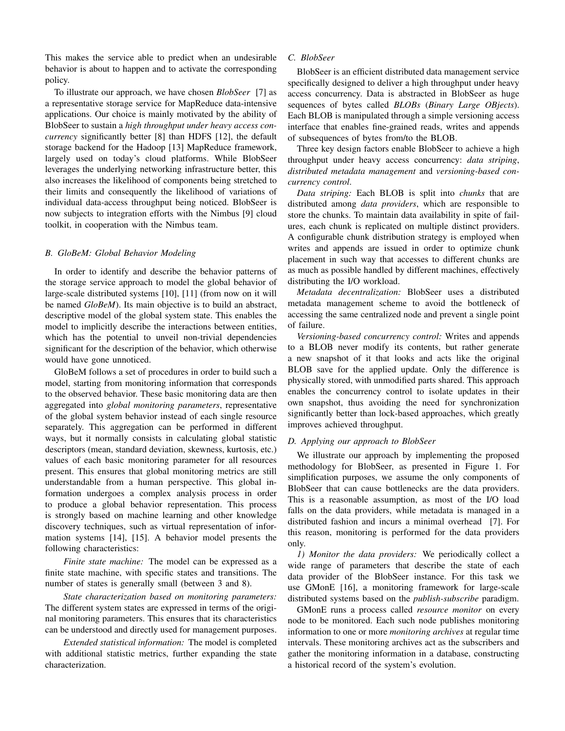This makes the service able to predict when an undesirable behavior is about to happen and to activate the corresponding policy.

To illustrate our approach, we have chosen *BlobSeer* [7] as a representative storage service for MapReduce data-intensive applications. Our choice is mainly motivated by the ability of BlobSeer to sustain a *high throughput under heavy access concurrency* significantly better [8] than HDFS [12], the default storage backend for the Hadoop [13] MapReduce framework, largely used on today's cloud platforms. While BlobSeer leverages the underlying networking infrastructure better, this also increases the likelihood of components being stretched to their limits and consequently the likelihood of variations of individual data-access throughput being noticed. BlobSeer is now subjects to integration efforts with the Nimbus [9] cloud toolkit, in cooperation with the Nimbus team.

#### *B. GloBeM: Global Behavior Modeling*

In order to identify and describe the behavior patterns of the storage service approach to model the global behavior of large-scale distributed systems [10], [11] (from now on it will be named *GloBeM*). Its main objective is to build an abstract, descriptive model of the global system state. This enables the model to implicitly describe the interactions between entities, which has the potential to unveil non-trivial dependencies significant for the description of the behavior, which otherwise would have gone unnoticed.

GloBeM follows a set of procedures in order to build such a model, starting from monitoring information that corresponds to the observed behavior. These basic monitoring data are then aggregated into *global monitoring parameters*, representative of the global system behavior instead of each single resource separately. This aggregation can be performed in different ways, but it normally consists in calculating global statistic descriptors (mean, standard deviation, skewness, kurtosis, etc.) values of each basic monitoring parameter for all resources present. This ensures that global monitoring metrics are still understandable from a human perspective. This global information undergoes a complex analysis process in order to produce a global behavior representation. This process is strongly based on machine learning and other knowledge discovery techniques, such as virtual representation of information systems [14], [15]. A behavior model presents the following characteristics:

*Finite state machine:* The model can be expressed as a finite state machine, with specific states and transitions. The number of states is generally small (between 3 and 8).

*State characterization based on monitoring parameters:* The different system states are expressed in terms of the original monitoring parameters. This ensures that its characteristics can be understood and directly used for management purposes.

*Extended statistical information:* The model is completed with additional statistic metrics, further expanding the state characterization.

#### *C. BlobSeer*

BlobSeer is an efficient distributed data management service specifically designed to deliver a high throughput under heavy access concurrency. Data is abstracted in BlobSeer as huge sequences of bytes called *BLOBs* (*Binary Large OBjects*). Each BLOB is manipulated through a simple versioning access interface that enables fine-grained reads, writes and appends of subsequences of bytes from/to the BLOB.

Three key design factors enable BlobSeer to achieve a high throughput under heavy access concurrency: *data striping*, *distributed metadata management* and *versioning-based concurrency control*.

*Data striping:* Each BLOB is split into *chunks* that are distributed among *data providers*, which are responsible to store the chunks. To maintain data availability in spite of failures, each chunk is replicated on multiple distinct providers. A configurable chunk distribution strategy is employed when writes and appends are issued in order to optimize chunk placement in such way that accesses to different chunks are as much as possible handled by different machines, effectively distributing the I/O workload.

*Metadata decentralization:* BlobSeer uses a distributed metadata management scheme to avoid the bottleneck of accessing the same centralized node and prevent a single point of failure.

*Versioning-based concurrency control:* Writes and appends to a BLOB never modify its contents, but rather generate a new snapshot of it that looks and acts like the original BLOB save for the applied update. Only the difference is physically stored, with unmodified parts shared. This approach enables the concurrency control to isolate updates in their own snapshot, thus avoiding the need for synchronization significantly better than lock-based approaches, which greatly improves achieved throughput.

#### *D. Applying our approach to BlobSeer*

We illustrate our approach by implementing the proposed methodology for BlobSeer, as presented in Figure 1. For simplification purposes, we assume the only components of BlobSeer that can cause bottlenecks are the data providers. This is a reasonable assumption, as most of the I/O load falls on the data providers, while metadata is managed in a distributed fashion and incurs a minimal overhead [7]. For this reason, monitoring is performed for the data providers only.

*1) Monitor the data providers:* We periodically collect a wide range of parameters that describe the state of each data provider of the BlobSeer instance. For this task we use GMonE [16], a monitoring framework for large-scale distributed systems based on the *publish-subscribe* paradigm.

GMonE runs a process called *resource monitor* on every node to be monitored. Each such node publishes monitoring information to one or more *monitoring archives* at regular time intervals. These monitoring archives act as the subscribers and gather the monitoring information in a database, constructing a historical record of the system's evolution.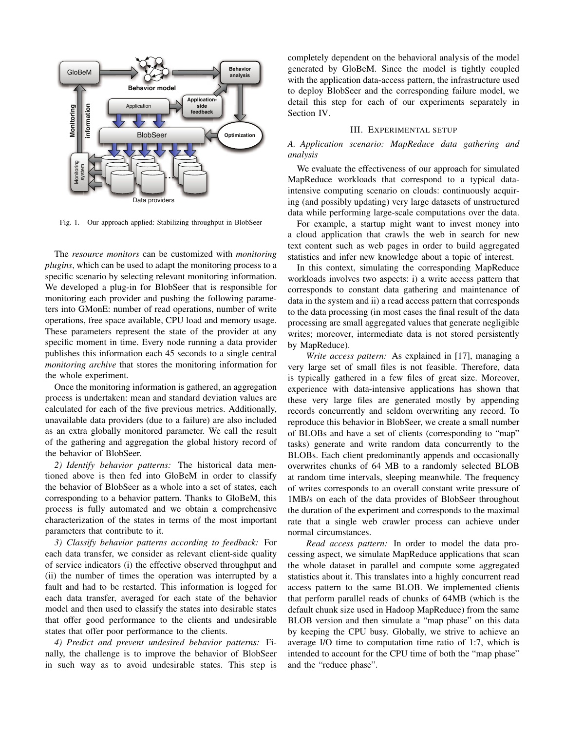

Fig. 1. Our approach applied: Stabilizing throughput in BlobSeer

The *resource monitors* can be customized with *monitoring plugins*, which can be used to adapt the monitoring process to a specific scenario by selecting relevant monitoring information. We developed a plug-in for BlobSeer that is responsible for monitoring each provider and pushing the following parameters into GMonE: number of read operations, number of write operations, free space available, CPU load and memory usage. These parameters represent the state of the provider at any specific moment in time. Every node running a data provider publishes this information each 45 seconds to a single central *monitoring archive* that stores the monitoring information for the whole experiment.

Once the monitoring information is gathered, an aggregation process is undertaken: mean and standard deviation values are calculated for each of the five previous metrics. Additionally, unavailable data providers (due to a failure) are also included as an extra globally monitored parameter. We call the result of the gathering and aggregation the global history record of the behavior of BlobSeer.

*2) Identify behavior patterns:* The historical data mentioned above is then fed into GloBeM in order to classify the behavior of BlobSeer as a whole into a set of states, each corresponding to a behavior pattern. Thanks to GloBeM, this process is fully automated and we obtain a comprehensive characterization of the states in terms of the most important parameters that contribute to it.

*3) Classify behavior patterns according to feedback:* For each data transfer, we consider as relevant client-side quality of service indicators (i) the effective observed throughput and (ii) the number of times the operation was interrupted by a fault and had to be restarted. This information is logged for each data transfer, averaged for each state of the behavior model and then used to classify the states into desirable states that offer good performance to the clients and undesirable states that offer poor performance to the clients.

*4) Predict and prevent undesired behavior patterns:* Finally, the challenge is to improve the behavior of BlobSeer in such way as to avoid undesirable states. This step is

completely dependent on the behavioral analysis of the model generated by GloBeM. Since the model is tightly coupled with the application data-access pattern, the infrastructure used to deploy BlobSeer and the corresponding failure model, we detail this step for each of our experiments separately in Section IV.

#### III. EXPERIMENTAL SETUP

*A. Application scenario: MapReduce data gathering and analysis*

We evaluate the effectiveness of our approach for simulated MapReduce workloads that correspond to a typical dataintensive computing scenario on clouds: continuously acquiring (and possibly updating) very large datasets of unstructured data while performing large-scale computations over the data.

For example, a startup might want to invest money into a cloud application that crawls the web in search for new text content such as web pages in order to build aggregated statistics and infer new knowledge about a topic of interest.

In this context, simulating the corresponding MapReduce workloads involves two aspects: i) a write access pattern that corresponds to constant data gathering and maintenance of data in the system and ii) a read access pattern that corresponds to the data processing (in most cases the final result of the data processing are small aggregated values that generate negligible writes; moreover, intermediate data is not stored persistently by MapReduce).

*Write access pattern:* As explained in [17], managing a very large set of small files is not feasible. Therefore, data is typically gathered in a few files of great size. Moreover, experience with data-intensive applications has shown that these very large files are generated mostly by appending records concurrently and seldom overwriting any record. To reproduce this behavior in BlobSeer, we create a small number of BLOBs and have a set of clients (corresponding to "map" tasks) generate and write random data concurrently to the BLOBs. Each client predominantly appends and occasionally overwrites chunks of 64 MB to a randomly selected BLOB at random time intervals, sleeping meanwhile. The frequency of writes corresponds to an overall constant write pressure of 1MB/s on each of the data provides of BlobSeer throughout the duration of the experiment and corresponds to the maximal rate that a single web crawler process can achieve under normal circumstances.

*Read access pattern:* In order to model the data processing aspect, we simulate MapReduce applications that scan the whole dataset in parallel and compute some aggregated statistics about it. This translates into a highly concurrent read access pattern to the same BLOB. We implemented clients that perform parallel reads of chunks of 64MB (which is the default chunk size used in Hadoop MapReduce) from the same BLOB version and then simulate a "map phase" on this data by keeping the CPU busy. Globally, we strive to achieve an average I/O time to computation time ratio of 1:7, which is intended to account for the CPU time of both the "map phase" and the "reduce phase".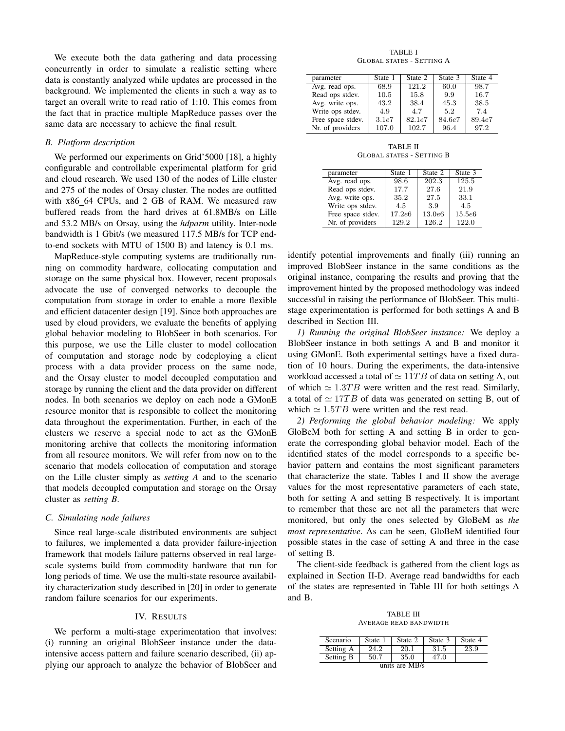We execute both the data gathering and data processing concurrently in order to simulate a realistic setting where data is constantly analyzed while updates are processed in the background. We implemented the clients in such a way as to target an overall write to read ratio of 1:10. This comes from the fact that in practice multiple MapReduce passes over the same data are necessary to achieve the final result.

#### *B. Platform description*

We performed our experiments on Grid'5000 [18], a highly configurable and controllable experimental platform for grid and cloud research. We used 130 of the nodes of Lille cluster and 275 of the nodes of Orsay cluster. The nodes are outfitted with x86 64 CPUs, and 2 GB of RAM. We measured raw buffered reads from the hard drives at 61.8MB/s on Lille and 53.2 MB/s on Orsay, using the *hdparm* utility. Inter-node bandwidth is 1 Gbit/s (we measured 117.5 MB/s for TCP endto-end sockets with MTU of 1500 B) and latency is 0.1 ms.

MapReduce-style computing systems are traditionally running on commodity hardware, collocating computation and storage on the same physical box. However, recent proposals advocate the use of converged networks to decouple the computation from storage in order to enable a more flexible and efficient datacenter design [19]. Since both approaches are used by cloud providers, we evaluate the benefits of applying global behavior modeling to BlobSeer in both scenarios. For this purpose, we use the Lille cluster to model collocation of computation and storage node by codeploying a client process with a data provider process on the same node, and the Orsay cluster to model decoupled computation and storage by running the client and the data provider on different nodes. In both scenarios we deploy on each node a GMonE resource monitor that is responsible to collect the monitoring data throughout the experimentation. Further, in each of the clusters we reserve a special node to act as the GMonE monitoring archive that collects the monitoring information from all resource monitors. We will refer from now on to the scenario that models collocation of computation and storage on the Lille cluster simply as *setting A* and to the scenario that models decoupled computation and storage on the Orsay cluster as *setting B*.

#### *C. Simulating node failures*

Since real large-scale distributed environments are subject to failures, we implemented a data provider failure-injection framework that models failure patterns observed in real largescale systems build from commodity hardware that run for long periods of time. We use the multi-state resource availability characterization study described in [20] in order to generate random failure scenarios for our experiments.

#### IV. RESULTS

We perform a multi-stage experimentation that involves: (i) running an original BlobSeer instance under the dataintensive access pattern and failure scenario described, (ii) applying our approach to analyze the behavior of BlobSeer and

TABLE I GLOBAL STATES - SETTING A

| parameter         | State 1 | State 2 | State 3 | State 4 |
|-------------------|---------|---------|---------|---------|
| Avg. read ops.    | 68.9    | 121.2   | 60.0    | 98.7    |
| Read ops stdev.   | 10.5    | 15.8    | 9.9     | 16.7    |
| Avg. write ops.   | 43.2    | 38.4    | 45.3    | 38.5    |
| Write ops stdev.  | 4.9     | 4.7     | 5.2     | 7.4     |
| Free space stdev. | 3.1e7   | 82.1e7  | 84.6e7  | 89.4e7  |
| Nr. of providers  | 107.0   | 102.7   | 96.4    | 97.2    |

TABLE II GLOBAL STATES - SETTING B

| parameter         | State 1 | State 2 | State 3 |
|-------------------|---------|---------|---------|
| Avg. read ops.    | 98.6    | 202.3   | 125.5   |
| Read ops stdev.   | 17.7    | 27.6    | 21.9    |
| Avg. write ops.   | 35.2    | 27.5    | 33.1    |
| Write ops stdev.  | 4.5     | 3.9     | 4.5     |
| Free space stdev. | 17.2e6  | 13.0e6  | 15.5e6  |
| Nr. of providers  | 129.2   | 126.2   | 122.0   |

identify potential improvements and finally (iii) running an improved BlobSeer instance in the same conditions as the original instance, comparing the results and proving that the improvement hinted by the proposed methodology was indeed successful in raising the performance of BlobSeer. This multistage experimentation is performed for both settings A and B described in Section III.

*1) Running the original BlobSeer instance:* We deploy a BlobSeer instance in both settings A and B and monitor it using GMonE. Both experimental settings have a fixed duration of 10 hours. During the experiments, the data-intensive workload accessed a total of  $\simeq 11TB$  of data on setting A, out of which  $\simeq 1.3TB$  were written and the rest read. Similarly, a total of  $\simeq$  17*TB* of data was generated on setting B, out of which  $\simeq 1.5TB$  were written and the rest read.

*2) Performing the global behavior modeling:* We apply GloBeM both for setting A and setting B in order to generate the corresponding global behavior model. Each of the identified states of the model corresponds to a specific behavior pattern and contains the most significant parameters that characterize the state. Tables I and II show the average values for the most representative parameters of each state, both for setting A and setting B respectively. It is important to remember that these are not all the parameters that were monitored, but only the ones selected by GloBeM as *the most representative*. As can be seen, GloBeM identified four possible states in the case of setting A and three in the case of setting B.

The client-side feedback is gathered from the client logs as explained in Section II-D. Average read bandwidths for each of the states are represented in Table III for both settings A and B.

TABLE III AVERAGE READ BANDWIDTH

| Scenario       | State 1 | State 2 | State 3 | State 4 |
|----------------|---------|---------|---------|---------|
| Setting A      | 24.2    | 20.1    | 31.5    | 23.9    |
| Setting B      | 50.7    | 35.0    | 47.0    |         |
| units are MB/s |         |         |         |         |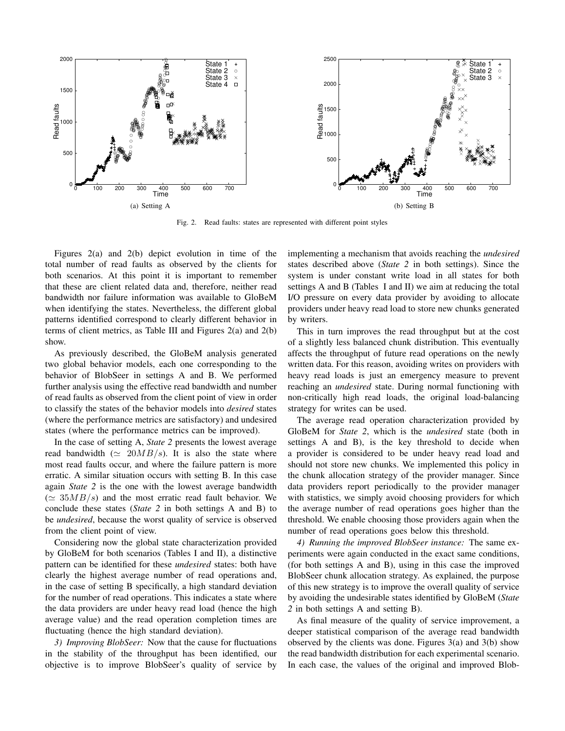

Fig. 2. Read faults: states are represented with different point styles

Figures 2(a) and 2(b) depict evolution in time of the total number of read faults as observed by the clients for both scenarios. At this point it is important to remember that these are client related data and, therefore, neither read bandwidth nor failure information was available to GloBeM when identifying the states. Nevertheless, the different global patterns identified correspond to clearly different behavior in terms of client metrics, as Table III and Figures 2(a) and 2(b) show.

As previously described, the GloBeM analysis generated two global behavior models, each one corresponding to the behavior of BlobSeer in settings A and B. We performed further analysis using the effective read bandwidth and number of read faults as observed from the client point of view in order to classify the states of the behavior models into *desired* states (where the performance metrics are satisfactory) and undesired states (where the performance metrics can be improved).

In the case of setting A, *State 2* presents the lowest average read bandwidth ( $\simeq 20MB/s$ ). It is also the state where most read faults occur, and where the failure pattern is more erratic. A similar situation occurs with setting B. In this case again *State 2* is the one with the lowest average bandwidth  $(\simeq 35MB/s)$  and the most erratic read fault behavior. We conclude these states (*State 2* in both settings A and B) to be *undesired*, because the worst quality of service is observed from the client point of view.

Considering now the global state characterization provided by GloBeM for both scenarios (Tables I and II), a distinctive pattern can be identified for these *undesired* states: both have clearly the highest average number of read operations and, in the case of setting B specifically, a high standard deviation for the number of read operations. This indicates a state where the data providers are under heavy read load (hence the high average value) and the read operation completion times are fluctuating (hence the high standard deviation).

*3) Improving BlobSeer:* Now that the cause for fluctuations in the stability of the throughput has been identified, our objective is to improve BlobSeer's quality of service by implementing a mechanism that avoids reaching the *undesired* states described above (*State 2* in both settings). Since the system is under constant write load in all states for both settings A and B (Tables I and II) we aim at reducing the total I/O pressure on every data provider by avoiding to allocate providers under heavy read load to store new chunks generated by writers.

This in turn improves the read throughput but at the cost of a slightly less balanced chunk distribution. This eventually affects the throughput of future read operations on the newly written data. For this reason, avoiding writes on providers with heavy read loads is just an emergency measure to prevent reaching an *undesired* state. During normal functioning with non-critically high read loads, the original load-balancing strategy for writes can be used.

The average read operation characterization provided by GloBeM for *State 2*, which is the *undesired* state (both in settings A and B), is the key threshold to decide when a provider is considered to be under heavy read load and should not store new chunks. We implemented this policy in the chunk allocation strategy of the provider manager. Since data providers report periodically to the provider manager with statistics, we simply avoid choosing providers for which the average number of read operations goes higher than the threshold. We enable choosing those providers again when the number of read operations goes below this threshold.

*4) Running the improved BlobSeer instance:* The same experiments were again conducted in the exact same conditions, (for both settings A and B), using in this case the improved BlobSeer chunk allocation strategy. As explained, the purpose of this new strategy is to improve the overall quality of service by avoiding the undesirable states identified by GloBeM (*State 2* in both settings A and setting B).

As final measure of the quality of service improvement, a deeper statistical comparison of the average read bandwidth observed by the clients was done. Figures  $3(a)$  and  $3(b)$  show the read bandwidth distribution for each experimental scenario. In each case, the values of the original and improved Blob-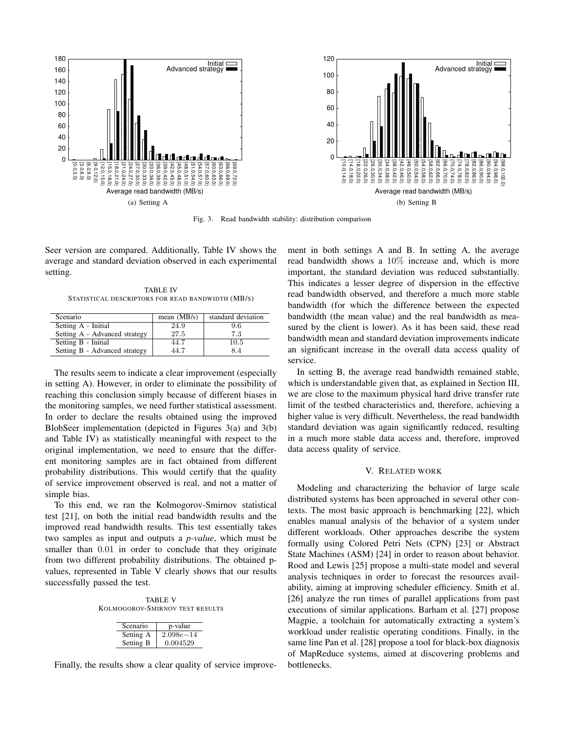

Fig. 3. Read bandwidth stability: distribution comparison

Seer version are compared. Additionally, Table IV shows the average and standard deviation observed in each experimental setting.

TABLE IV STATISTICAL DESCRIPTORS FOR READ BANDWIDTH (MB/S)

| Scenario                      | mean $(MB/s)$ | standard deviation |
|-------------------------------|---------------|--------------------|
| Setting A - Initial           | 24.9          | 9.6                |
| Setting A - Advanced strategy | 27.5          | 7.3                |
| Setting B - Initial           | 44.7          | 10.5               |
| Setting B - Advanced strategy | 44.7          | 8.4                |

The results seem to indicate a clear improvement (especially in setting A). However, in order to eliminate the possibility of reaching this conclusion simply because of different biases in the monitoring samples, we need further statistical assessment. In order to declare the results obtained using the improved BlobSeer implementation (depicted in Figures 3(a) and 3(b) and Table IV) as statistically meaningful with respect to the original implementation, we need to ensure that the different monitoring samples are in fact obtained from different probability distributions. This would certify that the quality of service improvement observed is real, and not a matter of simple bias.

To this end, we ran the Kolmogorov-Smirnov statistical test [21], on both the initial read bandwidth results and the improved read bandwidth results. This test essentially takes two samples as input and outputs a *p-value*, which must be smaller than 0*.*01 in order to conclude that they originate from two different probability distributions. The obtained pvalues, represented in Table V clearly shows that our results successfully passed the test.

TABLE V KOLMOGOROV-SMIRNOV TEST RESULTS

| Scenario  | p-value       |
|-----------|---------------|
| Setting A | $2.098e - 14$ |
| Setting B | 0.004529      |

Finally, the results show a clear quality of service improve-

ment in both settings A and B. In setting A, the average read bandwidth shows a 10% increase and, which is more important, the standard deviation was reduced substantially. This indicates a lesser degree of dispersion in the effective read bandwidth observed, and therefore a much more stable bandwidth (for which the difference between the expected bandwidth (the mean value) and the real bandwidth as measured by the client is lower). As it has been said, these read bandwidth mean and standard deviation improvements indicate an significant increase in the overall data access quality of service.

In setting B, the average read bandwidth remained stable, which is understandable given that, as explained in Section III, we are close to the maximum physical hard drive transfer rate limit of the testbed characteristics and, therefore, achieving a higher value is very difficult. Nevertheless, the read bandwidth standard deviation was again significantly reduced, resulting in a much more stable data access and, therefore, improved data access quality of service.

#### V. RELATED WORK

Modeling and characterizing the behavior of large scale distributed systems has been approached in several other contexts. The most basic approach is benchmarking [22], which enables manual analysis of the behavior of a system under different workloads. Other approaches describe the system formally using Colored Petri Nets (CPN) [23] or Abstract State Machines (ASM) [24] in order to reason about behavior. Rood and Lewis [25] propose a multi-state model and several analysis techniques in order to forecast the resources availability, aiming at improving scheduler efficiency. Smith et al. [26] analyze the run times of parallel applications from past executions of similar applications. Barham et al. [27] propose Magpie, a toolchain for automatically extracting a system's workload under realistic operating conditions. Finally, in the same line Pan et al. [28] propose a tool for black-box diagnosis of MapReduce systems, aimed at discovering problems and bottlenecks.